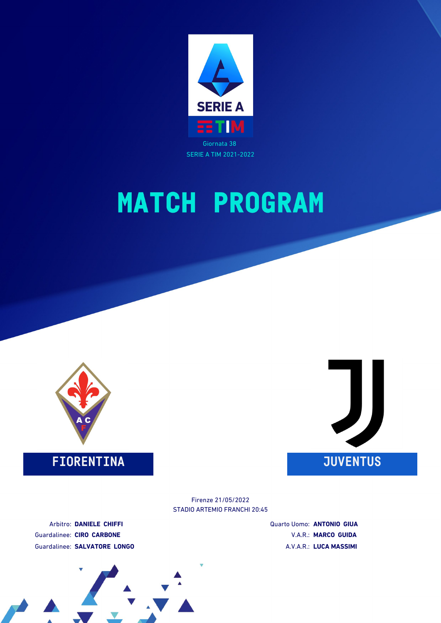



### **FIORENTINA JUVENTUS**



STADIO ARTEMIO FRANCHI 20:45 Firenze 21/05/2022

Arbitro: **DANIELE CHIFFI** Guardalinee: **CIRO CARBONE** Guardalinee: **SALVATORE LONGO** Quarto Uomo: **ANTONIO GIUA** V.A.R.: **MARCO GUIDA** A.V.A.R.: **LUCA MASSIMI**

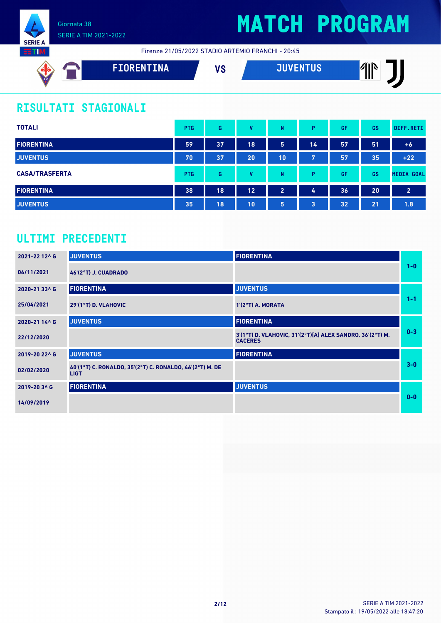

# **MATCH PROGRAM**

Firenze 21/05/2022 STADIO ARTEMIO FRANCHI - 20:45

| AC | FIORENTINA | 11 M<br>v | <b>JUVENTUS</b> ' | ЛĭN<br>w<br>Ш |
|----|------------|-----------|-------------------|---------------|
|    |            |           |                   |               |

## **RISULTATI STAGIONALI**

| <b>TOTALI</b>         | <b>PTG</b> | G  | v  | N              | Þ  | GF | GS | DIFF.RETI         |
|-----------------------|------------|----|----|----------------|----|----|----|-------------------|
| <b>FIORENTINA</b>     | 59         | 37 | 18 | 5              | 14 | 57 | 51 | $+6$              |
| <b>JUVENTUS</b>       | 70         | 37 | 20 | 10             | 7  | 57 | 35 | $+22$             |
| <b>CASA/TRASFERTA</b> | <b>PTG</b> | G  | v  | N              | D  | GF | GS | <b>MEDIA GOAL</b> |
| <b>FIORENTINA</b>     | 38         | 18 | 12 | $\overline{2}$ | 4  | 36 | 20 | $\overline{2}$    |
| <b>JUVENTUS</b>       | 35         | 18 | 10 | 5              | 3  | 32 | 21 | 1.8               |

### **ULTIMI PRECEDENTI**

| 2021-22 12^6  | <b>JUVENTUS</b>                                                         | <b>FIORENTINA</b>                                                           |         |
|---------------|-------------------------------------------------------------------------|-----------------------------------------------------------------------------|---------|
| 06/11/2021    | <b>46'(2°T) J. CUADRADO</b>                                             |                                                                             | $1 - 0$ |
| 2020-21 33^ G | <b>FIORENTINA</b>                                                       | <b>JUVENTUS</b>                                                             |         |
| 25/04/2021    | 29'(1°T) D. VLAHOVIC                                                    | 1'(2°T) A. MORATA                                                           | $1 - 1$ |
| 2020-21 14^ G | <b>JUVENTUS</b>                                                         | <b>FIORENTINA</b>                                                           |         |
| 22/12/2020    |                                                                         | 3'(1°T) D. VLAHOVIC, 31'(2°T)[A] ALEX SANDRO, 36'(2°T) M.<br><b>CACERES</b> | $0 - 3$ |
| 2019-20 22^ G | <b>JUVENTUS</b>                                                         | <b>FIORENTINA</b>                                                           |         |
| 02/02/2020    | 40'(1°T) C. RONALDO, 35'(2°T) C. RONALDO, 46'(2°T) M. DE<br><b>LIGT</b> |                                                                             | $3-0$   |
| 2019-20 3^ G  | <b>FIORENTINA</b>                                                       | <b>JUVENTUS</b>                                                             |         |
| 14/09/2019    |                                                                         |                                                                             | $0 - 0$ |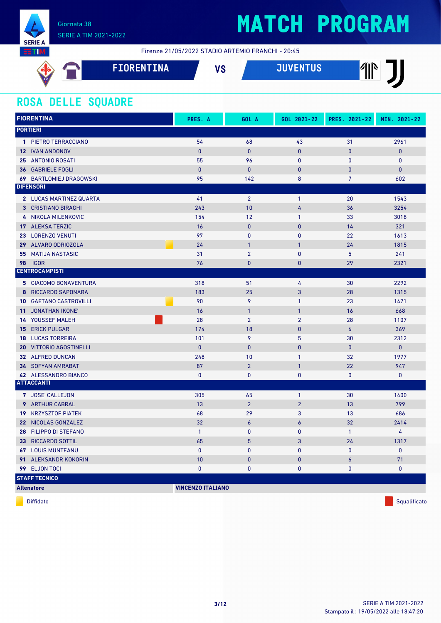

# **MATCH PROGRAM**

Firenze 21/05/2022 STADIO ARTEMIO FRANCHI - 20:45

| AC. | <b>FIORENTINA</b> | VC<br>1 J | ain/pntiia | ЛYГ<br>Ⅲ |
|-----|-------------------|-----------|------------|----------|
|     |                   |           |            |          |

#### **ROSA DELLE SQUADRE**

| <b>FIORENTINA</b>                 | PRES. A                  | GOL A          | GOL 2021-22      | PRES. 2021-22   | MIN. 2021-22 |
|-----------------------------------|--------------------------|----------------|------------------|-----------------|--------------|
| <b>PORTIERI</b>                   |                          |                |                  |                 |              |
| 1 PIETRO TERRACCIANO              | 54                       | 68             | 43               | 31              | 2961         |
| <b>12 IVAN ANDONOV</b>            | $\mathbf{0}$             | $\pmb{0}$      | $\mathbf{0}$     | $\mathbf{0}$    | $\pmb{0}$    |
| 25 ANTONIO ROSATI                 | 55                       | 96             | $\pmb{0}$        | $\mathbf{0}$    | $\mathbf 0$  |
| <b>36 GABRIELE FOGLI</b>          | $\mathbf{0}$             | $\mathbf{0}$   | $\mathbf{0}$     | $\bf{0}$        | $\mathbf{0}$ |
| 69 BARTLOMIEJ DRAGOWSKI           | 95                       | 142            | 8                | $7\overline{ }$ | 602          |
| <b>DIFENSORI</b>                  |                          |                |                  |                 |              |
| 2 LUCAS MARTINEZ QUARTA           | 41                       | $\overline{2}$ | $\mathbf{1}$     | 20              | 1543         |
| <b>3 CRISTIANO BIRAGHI</b>        | 243                      | 10             | 4                | 36              | 3254         |
| 4 NIKOLA MILENKOVIC               | 154                      | 12             | $\mathbf{1}$     | 33              | 3018         |
| 17 ALEKSA TERZIC                  | 16                       | $\mathbf{0}$   | $\mathbf{0}$     | 14              | 321          |
| 23 LORENZO VENUTI                 | 97                       | $\mathbf{0}$   | $\mathbf{0}$     | 22              | 1613         |
| 29 ALVARO ODRIOZOLA               | 24                       | $\overline{1}$ | $\mathbf{1}$     | 24              | 1815         |
| <b>MATIJA NASTASIC</b><br>55      | 31                       | $\overline{2}$ | $\mathbf{0}$     | 5               | 241          |
| 98<br><b>IGOR</b>                 | 76                       | $\mathbf{0}$   | $\mathbf{0}$     | 29              | 2321         |
| <b>CENTROCAMPISTI</b>             |                          |                |                  |                 |              |
| <b>5 GIACOMO BONAVENTURA</b>      | 318                      | 51             | 4                | 30              | 2292         |
| 8 RICCARDO SAPONARA               | 183                      | 25             | 3                | 28              | 1315         |
| <b>GAETANO CASTROVILLI</b><br>10  | 90                       | 9              | $\mathbf{1}$     | 23              | 1471         |
| JONATHAN IKONE'<br>11             | 16                       | $\mathbf{1}$   | $\mathbf{1}$     | 16              | 668          |
| <b>14 YOUSSEF MALEH</b>           | 28                       | $\overline{2}$ | $\overline{2}$   | 28              | 1107         |
| <b>ERICK PULGAR</b><br>15         | 174                      | 18             | $\mathbf{0}$     | $\overline{6}$  | 369          |
| <b>LUCAS TORREIRA</b><br>18       | 101                      | 9              | 5                | 30              | 2312         |
| <b>VITTORIO AGOSTINELLI</b><br>20 | $\mathbf{0}$             | $\mathbf{0}$   | $\pmb{0}$        | $\bf{0}$        | $\mathbf{0}$ |
| 32 ALFRED DUNCAN                  | 248                      | 10             | $\mathbf{1}$     | 32              | 1977         |
| <b>34 SOFYAN AMRABAT</b>          | 87                       | $\overline{2}$ | $\mathbf{1}$     | 22              | 947          |
| 42 ALESSANDRO BIANCO              | $\mathbf{0}$             | $\mathbf{0}$   | 0                | $\mathbf{0}$    | $\pmb{0}$    |
| <b>ATTACCANTI</b>                 |                          |                |                  |                 |              |
| 7 JOSE' CALLEJON                  | 305                      | 65             | $\mathbf{1}$     | 30              | 1400         |
| <b>9</b> ARTHUR CABRAL            | 13                       | $\overline{2}$ | $\overline{2}$   | 13              | 799          |
| <b>19 KRZYSZTOF PIATEK</b>        | 68                       | 29             | 3                | 13              | 686          |
| 22 NICOLAS GONZALEZ               | 32                       | $\epsilon$     | $\boldsymbol{6}$ | 32              | 2414         |
| 28 FILIPPO DI STEFANO             | $\mathbf{1}$             | $\mathbf 0$    | $\pmb{0}$        | $\mathbf{1}$    | 4            |
| <b>33 RICCARDO SOTTIL</b>         | 65                       | $5\phantom{.}$ | 3                | 24              | 1317         |
| <b>67 LOUIS MUNTEANU</b>          | $\mathbf{0}$             | $\mathbf 0$    | $\pmb{0}$        | $\mathbf{0}$    | $\mathbf 0$  |
| 91 ALEKSANDR KOKORIN              | 10                       | $\mathbf{0}$   | $\bf{0}$         | 6               | 71           |
| 99 ELJON TOCI                     | $\mathbf{0}$             | $\pmb{0}$      | 0                | 0               | $\pmb{0}$    |
| <b>STAFF TECNICO</b>              |                          |                |                  |                 |              |
| <b>Allenatore</b>                 | <b>VINCENZO ITALIANO</b> |                |                  |                 |              |

diffidato de la contradictivitativa de la contradictivitativa de la contradictivitativa de la contradictivitativ<br>Diffidato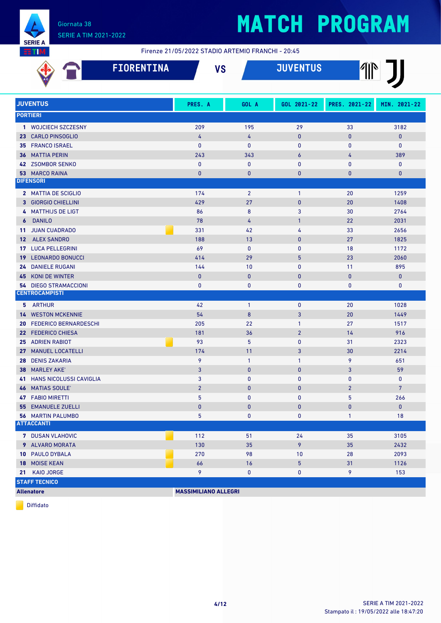

Firenze 21/05/2022 STADIO ARTEMIO FRANCHI - 20:45

|                                                       |                              | <b>FIORENTINA</b> |                             | <b>VS</b>      | <b>JUVENTUS</b>  |                | T              |
|-------------------------------------------------------|------------------------------|-------------------|-----------------------------|----------------|------------------|----------------|----------------|
| <b>JUVENTUS</b>                                       |                              |                   | PRES. A                     | GOL A          | GOL 2021-22      | PRES. 2021-22  | MIN. 2021-22   |
| <b>PORTIERI</b>                                       |                              |                   |                             |                |                  |                |                |
| 1 WOJCIECH SZCZESNY                                   |                              |                   | 209                         | 195            | 29               | 33             | 3182           |
| <b>CARLO PINSOGLIO</b><br>23                          |                              |                   | 4                           | $\overline{4}$ | $\pmb{0}$        | $\bf{0}$       | $\bf{0}$       |
| <b>FRANCO ISRAEL</b><br>35                            |                              |                   | $\mathbf{0}$                | $\pmb{0}$      | 0                | 0              | 0              |
| <b>MATTIA PERIN</b><br>36                             |                              |                   | 243                         | 343            | $\boldsymbol{6}$ | 4              | 389            |
| 42 ZSOMBOR SENKO                                      |                              |                   | $\mathbf{0}$                | $\mathbf 0$    | 0                | $\mathbf{0}$   | $\mathbf 0$    |
| <b>MARCO RAINA</b><br>53 <sub>1</sub>                 |                              |                   | $\bf{0}$                    | $\bf{0}$       | $\bf{0}$         | $\bf{0}$       | $\bf{0}$       |
| <b>DIFENSORI</b>                                      |                              |                   |                             |                |                  |                |                |
| 2 MATTIA DE SCIGLIO                                   |                              |                   | 174                         | $\overline{2}$ | $\mathbf{1}$     | 20             | 1259           |
| 3 GIORGIO CHIELLINI                                   |                              |                   | 429                         | 27             | $\pmb{0}$        | 20             | 1408           |
| 4 MATTHIJS DE LIGT                                    |                              |                   | 86                          | 8              | 3                | 30             | 2764           |
| <b>DANILO</b><br>$\boldsymbol{6}$                     |                              |                   | 78                          | $\overline{4}$ | $\mathbf{1}$     | 22             | 2031           |
| <b>JUAN CUADRADO</b><br>11                            |                              |                   | 331                         | 42             | 4                | 33             | 2656           |
| 12 ALEX SANDRO                                        |                              |                   | 188                         | 13             | $\mathbf{0}$     | 27             | 1825           |
| <b>LUCA PELLEGRINI</b><br>17                          |                              |                   | 69                          | $\mathbf{0}$   | $\mathbf{0}$     | 18             | 1172           |
| <b>LEONARDO BONUCCI</b><br>19                         |                              |                   | 414                         | 29             | 5                | 23             | 2060           |
| <b>DANIELE RUGANI</b><br>24                           |                              |                   | 144                         | 10             | 0                | 11             | 895            |
| <b>KONI DE WINTER</b><br>45                           |                              |                   | $\mathbf{0}$                | $\mathbf{0}$   | $\pmb{0}$        | $\mathbf{0}$   | $\mathbf{0}$   |
| <b>54 DIEGO STRAMACCIONI</b><br><b>CENTROCAMPISTI</b> |                              |                   | $\mathbf{0}$                | 0              | 0                | 0              | $\mathbf 0$    |
|                                                       |                              |                   |                             |                |                  |                |                |
| 5 ARTHUR                                              |                              |                   | 42                          | $\overline{1}$ | 0                | 20             | 1028           |
| <b>WESTON MCKENNIE</b><br>14                          |                              |                   | 54                          | 8              | 3                | 20             | 1449           |
| 20                                                    | <b>FEDERICO BERNARDESCHI</b> |                   | 205                         | 22             | $\mathbf{1}$     | 27             | 1517           |
| <b>FEDERICO CHIESA</b><br>22 <sub>2</sub>             |                              |                   | 181                         | 36             | $\overline{2}$   | 14             | 916            |
| <b>ADRIEN RABIOT</b><br>25<br><b>MANUEL LOCATELLI</b> |                              |                   | 93<br>174                   | 5<br>11        | 0<br>3           | 31             | 2323<br>2214   |
| 27<br><b>DENIS ZAKARIA</b><br>28                      |                              |                   | 9                           | $\overline{1}$ | $\mathbf{1}$     | 30<br>9        | 651            |
| <b>MARLEY AKE</b><br>38                               |                              |                   | 3                           | $\mathbf{0}$   | $\pmb{0}$        | 3              | 59             |
| <b>41 HANS NICOLUSSI CAVIGLIA</b>                     |                              |                   | 3                           | $\mathbf{0}$   | 0                | $\pmb{0}$      | $\pmb{0}$      |
| 46 MATIAS SOULE'                                      |                              |                   | $\overline{2}$              | $\mathbf{0}$   | $\mathbf{0}$     | $\overline{2}$ | $\overline{7}$ |
| <b>47 FABIO MIRETTI</b>                               |                              |                   | 5                           | 0              | 0                | 5              | 266            |
| <b>55 EMANUELE ZUELLI</b>                             |                              |                   | $\pmb{0}$                   | $\pmb{0}$      | $\bf{0}$         | 0              | $\mathbf{0}$   |
| <b>56 MARTIN PALUMBO</b>                              |                              |                   | 5                           | 0              | 0                | $\mathbf{1}$   | 18             |
| <b>ATTACCANTI</b>                                     |                              |                   |                             |                |                  |                |                |
| <b>7 DUSAN VLAHOVIC</b>                               |                              |                   | 112                         | 51             | 24               | 35             | 3105           |
| 9 ALVARO MORATA                                       |                              |                   | 130                         | 35             | 9                | 35             | 2432           |
| 10 PAULO DYBALA                                       |                              |                   | 270                         | 98             | 10               | 28             | 2093           |
| 18 MOISE KEAN                                         |                              |                   | 66                          | 16             | 5                | 31             | 1126           |
| KAIO JORGE<br>21                                      |                              |                   | 9                           | 0              | 0                | 9              | 153            |
| <b>STAFF TECNICO</b>                                  |                              |                   |                             |                |                  |                |                |
| <b>Allenatore</b>                                     |                              |                   | <b>MASSIMILIANO ALLEGRI</b> |                |                  |                |                |

Diffidato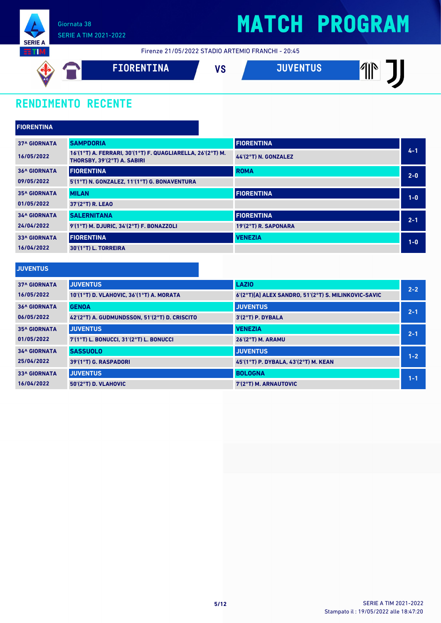

Firenze 21/05/2022 STADIO ARTEMIO FRANCHI - 20:45



### **RENDIMENTO RECENTE**

| <b>FIORENTINA</b>   |                                                                                           |                      |         |
|---------------------|-------------------------------------------------------------------------------------------|----------------------|---------|
| <b>37^ GIORNATA</b> | <b>SAMPDORIA</b>                                                                          | <b>FIORENTINA</b>    |         |
| 16/05/2022          | 16'(1°T) A. FERRARI, 30'(1°T) F. QUAGLIARELLA, 26'(2°T) M.<br>THORSBY, 39'(2°T) A. SABIRI | 44'(2°T) N. GONZALEZ | $4 - 1$ |
| <b>36^ GIORNATA</b> | <b>FIORENTINA</b>                                                                         | <b>ROMA</b>          | $2 - 0$ |
| 09/05/2022          | 5'(1°T) N. GONZALEZ, 11'(1°T) G. BONAVENTURA                                              |                      |         |
| <b>35^ GIORNATA</b> | <b>MILAN</b>                                                                              | <b>FIORENTINA</b>    | $1-0$   |
| 01/05/2022          | 37'(2°T) R. LEAO                                                                          |                      |         |
| <b>34^ GIORNATA</b> | <b>SALERNITANA</b>                                                                        | <b>FIORENTINA</b>    | $2 - 1$ |
| 24/04/2022          | 9'(1°T) M. DJURIC, 34'(2°T) F. BONAZZOLI                                                  | 19'(2°T) R. SAPONARA |         |
| <b>33^ GIORNATA</b> | <b>FIORENTINA</b>                                                                         | <b>VENEZIA</b>       | $1-0$   |
| 16/04/2022          | 30'(1°T) L. TORREIRA                                                                      |                      |         |
|                     |                                                                                           |                      |         |

#### **JUVENTUS**

| <b>37^ GIORNATA</b> | <b>JUVENTUS</b>                               | <b>LAZIO</b>                                         | $2 - 2$ |
|---------------------|-----------------------------------------------|------------------------------------------------------|---------|
| 16/05/2022          | 10'(1°T) D. VLAHOVIC, 36'(1°T) A. MORATA      | 6'(2°T)[A] ALEX SANDRO, 51'(2°T) S. MILINKOVIC-SAVIC |         |
| <b>36^ GIORNATA</b> | <b>GENOA</b>                                  | <b>JUVENTUS</b>                                      | $2 - 1$ |
| 06/05/2022          | 42'(2°T) A. GUDMUNDSSON, 51'(2°T) D. CRISCITO | $3'(2°T)$ P. DYBALA                                  |         |
| <b>35^ GIORNATA</b> | <b>JUVENTUS</b>                               | <b>VENEZIA</b>                                       | $2 - 1$ |
| 01/05/2022          | 7'(1°T) L. BONUCCI, 31'(2°T) L. BONUCCI       | <b>26'(2°T) M. ARAMU</b>                             |         |
| <b>34^ GIORNATA</b> | <b>SASSUOLO</b>                               | <b>JUVENTUS</b>                                      | $1 - 2$ |
| 25/04/2022          | 39'(1°T) G. RASPADORI                         | 45 (1°T) P. DYBALA, 43 (2°T) M. KEAN                 |         |
| <b>33^ GIORNATA</b> | <b>JUVENTUS</b>                               | <b>BOLOGNA</b>                                       | $1 - 1$ |
| 16/04/2022          | 50'(2°T) D. VLAHOVIC                          | 7'(2°T) M. ARNAUTOVIC                                |         |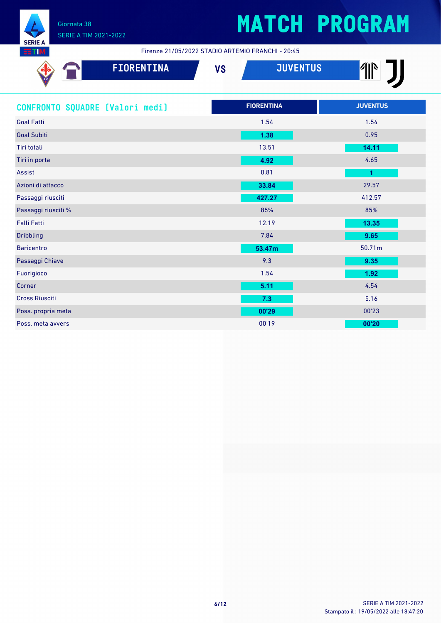

Firenze 21/05/2022 STADIO ARTEMIO FRANCHI - 20:45

| <b>FIORENTINA</b>               | <b>JUVENTUS</b><br><b>VS</b> | $\mathbb{P}$         |
|---------------------------------|------------------------------|----------------------|
| CONFRONTO SQUADRE [Valori medi] | <b>FIORENTINA</b>            | <b>JUVENTUS</b>      |
| <b>Goal Fatti</b>               | 1.54                         | 1.54                 |
| <b>Goal Subiti</b>              | 1.38                         | 0.95                 |
| Tiri totali                     | 13.51                        | 14.11                |
| Tiri in porta                   | 4.92                         | 4.65                 |
| <b>Assist</b>                   | 0.81                         | $\blacktriangleleft$ |
| Azioni di attacco               | 33.84                        | 29.57                |
| Passaggi riusciti               | 427.27                       | 412.57               |
| Passaggi riusciti %             | 85%                          | 85%                  |
| <b>Falli Fatti</b>              | 12.19                        | 13.35                |
| <b>Dribbling</b>                | 7.84                         | 9.65                 |
| <b>Baricentro</b>               | 53.47m                       | 50.71m               |
| Passaggi Chiave                 | 9.3                          | 9.35                 |
| Fuorigioco                      | 1.54                         | 1.92                 |
| Corner                          | 5.11                         | 4.54                 |
| <b>Cross Riusciti</b>           | 7.3                          | 5.16                 |
| Poss. propria meta              | 00'29                        | 00'23                |
| Poss. meta avvers               | 00'19                        | 00'20                |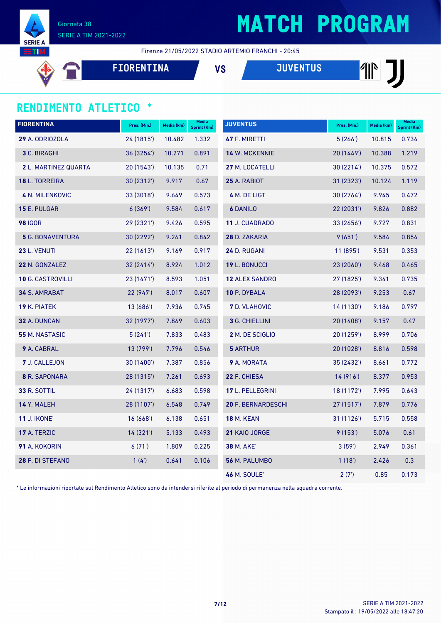

# **MATCH PROGRAM**

Firenze 21/05/2022 STADIO ARTEMIO FRANCHI - 20:45

**FIORENTINA VS JUVENTUS**

#### **RENDIMENTO ATLETICO \***

| <b>FIORENTINA</b>           | Pres. (Min.) | Media (km) | <b>Media</b><br><b>Sprint (Km)</b> | <b>JUVENTUS</b>       | Pres. (Min.) | Media (km) | <b>Media</b><br><b>Sprint (Km)</b> |
|-----------------------------|--------------|------------|------------------------------------|-----------------------|--------------|------------|------------------------------------|
| 29 A. ODRIOZOLA             | 24 (1815')   | 10.482     | 1.332                              | 47 F. MIRETTI         | 5(266)       | 10.815     | 0.734                              |
| <b>3 C. BIRAGHI</b>         | 36 (3254)    | 10.271     | 0.891                              | <b>14 W. MCKENNIE</b> | 20 (1449')   | 10.388     | 1.219                              |
| <b>2</b> L. MARTINEZ QUARTA | 20(1543)     | 10.135     | 0.71                               | 27 M. LOCATELLI       | 30(2214)     | 10.375     | 0.572                              |
| <b>18 L. TORREIRA</b>       | 30 (2312')   | 9.917      | 0.67                               | 25 A. RABIOT          | 31 (2323')   | 10.124     | 1.119                              |
| <b>4 N. MILENKOVIC</b>      | 33 (3018')   | 9.649      | 0.573                              | 4 M. DE LIGT          | 30 (2764')   | 9.945      | 0.472                              |
| 15 E. PULGAR                | 6(369)       | 9.584      | 0.617                              | <b>6 DANILO</b>       | 22(2031)     | 9.826      | 0.882                              |
| <b>98 IGOR</b>              | 29 (2321')   | 9.426      | 0.595                              | 11 J. CUADRADO        | 33 (2656')   | 9.727      | 0.831                              |
| <b>5</b> G. BONAVENTURA     | 30 (2292')   | 9.261      | 0.842                              | 28 D. ZAKARIA         | 9(651)       | 9.584      | 0.854                              |
| 23 L. VENUTI                | 22 (1613')   | 9.169      | 0.917                              | 24 D. RUGANI          | 11 (895')    | 9.531      | 0.353                              |
| 22 N. GONZALEZ              | 32(2414)     | 8.924      | 1.012                              | 19 L. BONUCCI         | 23 (2060')   | 9.468      | 0.465                              |
| <b>10 G. CASTROVILLI</b>    | 23 (1471')   | 8.593      | 1.051                              | <b>12 ALEX SANDRO</b> | 27 (1825')   | 9.341      | 0.735                              |
| <b>34 S. AMRABAT</b>        | 22(947)      | 8.017      | 0.607                              | 10 P. DYBALA          | 28 (2093')   | 9.253      | 0.67                               |
| <b>19 K. PIATEK</b>         | 13 (686')    | 7.936      | 0.745                              | <b>7</b> D. VLAHOVIC  | 14 (1130')   | 9.186      | 0.797                              |
| 32 A. DUNCAN                | 32 (1977')   | 7.869      | 0.603                              | 3 G. CHIELLINI        | 20(1408)     | 9.157      | 0.47                               |
| 55 M. NASTASIC              | 5(241)       | 7.833      | 0.483                              | 2 M. DE SCIGLIO       | 20 (1259')   | 8.999      | 0.706                              |
| 9 A. CABRAL                 | 13 (799')    | 7.796      | 0.546                              | <b>5 ARTHUR</b>       | 20 (1028')   | 8.816      | 0.598                              |
| 7 J. CALLEJON               | 30 (1400')   | 7.387      | 0.856                              | 9 A. MORATA           | 35 (2432')   | 8.661      | 0.772                              |
| 8 R. SAPONARA               | 28 (1315')   | 7.261      | 0.693                              | 22 F. CHIESA          | 14(916)      | 8.377      | 0.953                              |
| <b>33 R. SOTTIL</b>         | 24 (1317')   | 6.683      | 0.598                              | 17 L. PELLEGRINI      | 18 (1172')   | 7.995      | 0.643                              |
| 14 Y. MALEH                 | 28 (1107')   | 6.548      | 0.749                              | 20 F. BERNARDESCHI    | 27 (1517')   | 7.879      | 0.776                              |
| <b>11 J. IKONE'</b>         | 16(668)      | 6.138      | 0.651                              | <b>18 M. KEAN</b>     | 31 (1126')   | 5.715      | 0.558                              |
| 17 A. TERZIC                | 14 (321')    | 5.133      | 0.493                              | 21 KAIO JORGE         | 9(153)       | 5.076      | 0.61                               |
| 91 A. KOKORIN               | 6(71)        | 1.809      | 0.225                              | <b>38 M. AKE'</b>     | 3(59)        | 2.949      | 0.361                              |
| 28 F. DI STEFANO            | 1(4)         | 0.641      | 0.106                              | 56 M. PALUMBO         | 1(18)        | 2.426      | 0.3                                |
|                             |              |            |                                    | <b>46 M. SOULE'</b>   | 2(7)         | 0.85       | 0.173                              |

\* Le informazioni riportate sul Rendimento Atletico sono da intendersi riferite al periodo di permanenza nella squadra corrente.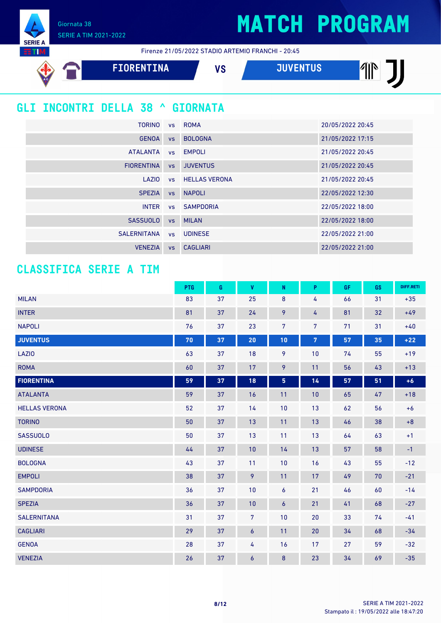11

Giornata 38 SERIE A TIM 2021-2022

**SERIE** 





#### **GLI INCONTRI DELLA 38 ^ GIORNATA**

| TORINO            |           | vs ROMA                 | 20/05/2022 20:45 |
|-------------------|-----------|-------------------------|------------------|
| <b>GENOA</b>      | <b>VS</b> | <b>BOLOGNA</b>          | 21/05/2022 17:15 |
| ATALANTA          |           | vs EMPOLI               | 21/05/2022 20:45 |
| <b>FIORENTINA</b> | VS        | <b>JUVENTUS</b>         | 21/05/2022 20:45 |
| LAZIO             |           | <b>vs</b> HELLAS VERONA | 21/05/2022 20:45 |
| <b>SPEZIA</b>     | VS        | <b>NAPOLI</b>           | 22/05/2022 12:30 |
| <b>INTER</b>      |           | vs SAMPDORIA            | 22/05/2022 18:00 |
| <b>SASSUOLO</b>   |           | vs MILAN                | 22/05/2022 18:00 |
| SALERNITANA       |           | vs UDINESE              | 22/05/2022 21:00 |
| <b>VENEZIA</b>    | <b>VS</b> | <b>CAGLIARI</b>         | 22/05/2022 21:00 |

#### **CLASSIFICA SERIE A TIM**

|                      | PTG | G  | $\pmb{\mathsf{V}}$ | $\mathsf{N}$   | P              | GF | GS | DIFF.RETI |
|----------------------|-----|----|--------------------|----------------|----------------|----|----|-----------|
| <b>MILAN</b>         | 83  | 37 | 25                 | $\bf 8$        | 4              | 66 | 31 | $+35$     |
| <b>INTER</b>         | 81  | 37 | 24                 | 9              | 4              | 81 | 32 | $+49$     |
| <b>NAPOLI</b>        | 76  | 37 | 23                 | 7              | 7              | 71 | 31 | $+40$     |
| <b>JUVENTUS</b>      | 70  | 37 | 20                 | 10             | $\overline{7}$ | 57 | 35 | $+22$     |
| LAZI0                | 63  | 37 | 18                 | 9              | 10             | 74 | 55 | $+19$     |
| <b>ROMA</b>          | 60  | 37 | 17                 | 9              | 11             | 56 | 43 | $+13$     |
| <b>FIORENTINA</b>    | 59  | 37 | 18                 | 5 <sub>5</sub> | 14             | 57 | 51 | $+6$      |
| <b>ATALANTA</b>      | 59  | 37 | 16                 | 11             | 10             | 65 | 47 | $+18$     |
| <b>HELLAS VERONA</b> | 52  | 37 | 14                 | 10             | 13             | 62 | 56 | $+6$      |
| <b>TORINO</b>        | 50  | 37 | 13                 | 11             | 13             | 46 | 38 | $\bf+8$   |
| <b>SASSUOLO</b>      | 50  | 37 | 13                 | 11             | 13             | 64 | 63 | $+1$      |
| <b>UDINESE</b>       | 44  | 37 | 10                 | 14             | 13             | 57 | 58 | $-1$      |
| <b>BOLOGNA</b>       | 43  | 37 | 11                 | 10             | 16             | 43 | 55 | $-12$     |
| <b>EMPOLI</b>        | 38  | 37 | 9                  | 11             | 17             | 49 | 70 | $-21$     |
| <b>SAMPDORIA</b>     | 36  | 37 | 10                 | $\pmb{6}$      | 21             | 46 | 60 | $-14$     |
| <b>SPEZIA</b>        | 36  | 37 | 10                 | $\pmb{6}$      | 21             | 41 | 68 | $-27$     |
| <b>SALERNITANA</b>   | 31  | 37 | $\overline{7}$     | 10             | 20             | 33 | 74 | $-41$     |
| <b>CAGLIARI</b>      | 29  | 37 | $\boldsymbol{6}$   | 11             | 20             | 34 | 68 | $-34$     |
| <b>GENOA</b>         | 28  | 37 | 4                  | 16             | 17             | 27 | 59 | $-32$     |
| <b>VENEZIA</b>       | 26  | 37 | 6                  | 8              | 23             | 34 | 69 | $-35$     |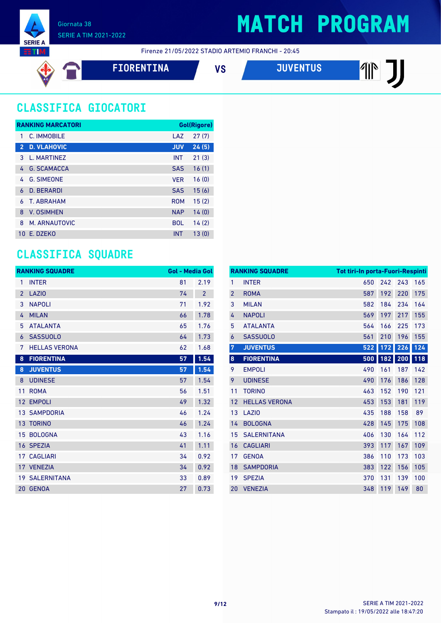

Firenze 21/05/2022 STADIO ARTEMIO FRANCHI - 20:45

$$
\Leftrightarrow \blacksquare
$$

**FIORENTINA VS JUVENTUS**

### **CLASSIFICA GIOCATORI**

|                | <b>RANKING MARCATORI</b> |            | Gol(Rigore) |
|----------------|--------------------------|------------|-------------|
| 1              | C. IMMOBILE              | LAZ        | 27(7)       |
| $\overline{2}$ | <b>D. VLAHOVIC</b>       | <b>JUV</b> | 24(5)       |
| 3              | L. MARTINEZ              | <b>INT</b> | 21(3)       |
| 4              | <b>G. SCAMACCA</b>       | <b>SAS</b> | 16(1)       |
| 4              | <b>G. SIMEONE</b>        | <b>VER</b> | 16(0)       |
| 6              | <b>D. BERARDI</b>        | <b>SAS</b> | 15(6)       |
| 6              | T. ABRAHAM               | <b>ROM</b> | 15(2)       |
| 8              | <b>V. OSIMHEN</b>        | <b>NAP</b> | 14(0)       |
| 8              | M. ARNAUTOVIC            | <b>BOL</b> | 14(2)       |
| 10             | E. DZEKO                 | <b>INT</b> | 13(0)       |

#### **CLASSIFICA SQUADRE**

|                | <b>RANKING SQUADRE</b> | <b>Gol - Media Gol</b> |                |
|----------------|------------------------|------------------------|----------------|
| 1              | <b>INTER</b>           | 81                     | 2.19           |
| $\overline{2}$ | <b>LAZIO</b>           | 74                     | $\overline{2}$ |
| 3              | <b>NAPOLI</b>          | 71                     | 1.92           |
| 4              | <b>MILAN</b>           | 66                     | 1.78           |
| 5              | <b>ATALANTA</b>        | 65                     | 1.76           |
| 6              | <b>SASSUOLO</b>        | 64                     | 1.73           |
| 7              | <b>HELLAS VERONA</b>   | 62                     | 1.68           |
| 8              | <b>FIORENTINA</b>      | 57                     | 1.54           |
| 8              | <b>JUVENTUS</b>        | 57                     | 1.54           |
| 8              | <b>UDINESE</b>         | 57                     | 1.54           |
| 11             | <b>ROMA</b>            | 56                     | 1.51           |
| 12             | <b>EMPOLI</b>          | 49                     | 1.32           |
| 13             | <b>SAMPDORIA</b>       | 46                     | 1.24           |
|                | 13 TORINO              | 46                     | 1.24           |
|                | 15 BOLOGNA             | 43                     | 1.16           |
|                | 16 SPEZIA              | 41                     | 1.11           |
|                | <b>17 CAGLIARI</b>     | 34                     | 0.92           |
|                | 17 VENEZIA             | 34                     | 0.92           |
|                | <b>19 SALERNITANA</b>  | 33                     | 0.89           |
| $20-1$         | <b>GENOA</b>           | 27                     | 0.73           |

|                | <b>RANKING SQUADRE</b> | <b>Tot tiri-In porta-Fuori-Respinti</b> |     |     |     |
|----------------|------------------------|-----------------------------------------|-----|-----|-----|
| 1              | <b>INTER</b>           | 650                                     | 242 | 243 | 165 |
| $\overline{2}$ | <b>ROMA</b>            | 587                                     | 192 | 220 | 175 |
| 3              | <b>MILAN</b>           | 582                                     | 184 | 234 | 164 |
| 4              | <b>NAPOLI</b>          | 569                                     | 197 | 217 | 155 |
| 5              | <b>ATALANTA</b>        | 564                                     | 166 | 225 | 173 |
| 6              | <b>SASSUOLO</b>        | 561                                     | 210 | 196 | 155 |
| 7              | <b>JUVENTUS</b>        | 522                                     | 172 | 226 | 124 |
| $\pmb{8}$      | <b>FIORENTINA</b>      | 500                                     | 182 | 200 | 118 |
| 9              | <b>EMPOLI</b>          | 490                                     | 161 | 187 | 142 |
| 9              | <b>UDINESE</b>         | 490                                     | 176 | 186 | 128 |
| 11             | <b>TORINO</b>          | 463                                     | 152 | 190 | 121 |
| 12             | <b>HELLAS VERONA</b>   | 453                                     | 153 | 181 | 119 |
| 13             | LAZI <sub>0</sub>      | 435                                     | 188 | 158 | 89  |
| 14             | <b>BOLOGNA</b>         | 428                                     | 145 | 175 | 108 |
| 15             | <b>SALERNITANA</b>     | 406                                     | 130 | 164 | 112 |
| 16             | <b>CAGLIARI</b>        | 393                                     | 117 | 167 | 109 |
| 17             | <b>GENOA</b>           | 386                                     | 110 | 173 | 103 |
| 18             | <b>SAMPDORIA</b>       | 383                                     | 122 | 156 | 105 |
| 19             | <b>SPEZIA</b>          | 370                                     | 131 | 139 | 100 |
| 20             | <b>VENEZIA</b>         | 348                                     | 119 | 149 | 80  |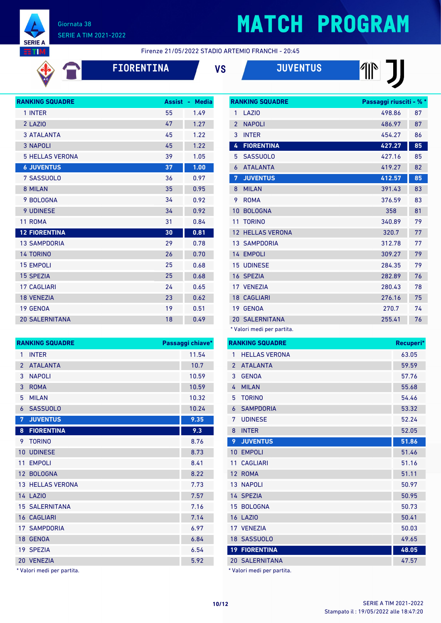

◆ ●

#### Giornata 38 SERIE A TIM 2021-2022

## **MATCH PROGRAM**

Firenze 21/05/2022 STADIO ARTEMIO FRANCHI - 20:45

**FIORENTINA VS JUVENTUS**

| w                      |               |                    |
|------------------------|---------------|--------------------|
| <b>RANKING SQUADRE</b> | <b>Assist</b> | <b>Media</b><br>÷, |
| 1 INTER                | 55            | 1.49               |
| 2 LAZIO                | 47            | 1.27               |
| <b>3 ATALANTA</b>      | 45            | 1.22               |
| <b>3 NAPOLI</b>        | 45            | 1.22               |
| <b>5 HELLAS VERONA</b> | 39            | 1.05               |
| <b>6 JUVENTUS</b>      | 37            | 1.00               |
| 7 SASSUOLO             | 36            | 0.97               |
| 8 MILAN                | 35            | 0.95               |
| 9 BOLOGNA              | 34            | 0.92               |
| <b>9 UDINESE</b>       | 34            | 0.92               |
| 11 ROMA                | 31            | 0.84               |
| <b>12 FIORENTINA</b>   | 30            | 0.81               |
| <b>13 SAMPDORIA</b>    | 29            | 0.78               |
| <b>14 TORINO</b>       | 26            | 0.70               |
| <b>15 EMPOLI</b>       | 25            | 0.68               |
| <b>15 SPEZIA</b>       | 25            | 0.68               |
| <b>17 CAGI JARI</b>    | 24            | 0.65               |
| <b>18 VENEZIA</b>      | 23            | 0.62               |
| 19 GENOA               | 19            | 0.51               |
| <b>20 SALERNITANA</b>  | 18            | 0.49               |

**RANKING SQUADRE Passaggi chiave\*** 1 INTER 11.54 ATALANTA 10.7 3 NAPOLI 10.59 3 ROMA 10.59 MILAN 10.32 SASSUOLO 10.24 **JUVENTUS 9.35 FIORENTINA 9.3** TORINO 8.76 10 UDINESE 8.73 11 EMPOLI 8.41 12 BOLOGNA 8.22 13 HELLAS VERONA 7.73 14 LAZIO **7.57** 15 SALERNITANA 7.16 16 CAGLIARI 7.14 17 SAMPDORIA 6.97 GENOA 6.84 SPEZIA 6.54 VENEZIA 5.92

|                 | <b>RANKING SQUADRE</b> | Passaggi riusciti - % * |    |
|-----------------|------------------------|-------------------------|----|
| 1               | LAZIO                  | 498.86                  | 87 |
| $\overline{2}$  | <b>NAPOLI</b>          | 486.97                  | 87 |
| 3               | <b>INTER</b>           | 454.27                  | 86 |
| 4               | <b>FIORENTINA</b>      | 427.27                  | 85 |
| 5               | <b>SASSUOLO</b>        | 427.16                  | 85 |
| 6               | <b>ATALANTA</b>        | 419.27                  | 82 |
| 7               | <b>JUVENTUS</b>        | 412.57                  | 85 |
| 8               | <b>MILAN</b>           | 391.43                  | 83 |
| 9               | <b>ROMA</b>            | 376.59                  | 83 |
| 10              | <b>BOLOGNA</b>         | 358                     | 81 |
| 11              | <b>TORINO</b>          | 340.89                  | 79 |
| 12 <sup>2</sup> | <b>HELLAS VERONA</b>   | 320.7                   | 77 |
|                 | <b>13 SAMPDORIA</b>    | 312.78                  | 77 |
|                 | 14 EMPOLI              | 309.27                  | 79 |
|                 | <b>15 UDINESE</b>      | 284.35                  | 79 |
|                 | 16 SPEZIA              | 282.89                  | 76 |
|                 | 17 VENEZIA             | 280.43                  | 78 |
|                 | <b>18 CAGLIARI</b>     | 276.16                  | 75 |
| 19              | <b>GENOA</b>           | 270.7                   | 74 |
|                 | <b>20 SALERNITANA</b>  | 255.41                  | 76 |

\* Valori medi per partita.

| <b>HELLAS VERONA</b><br>1            | 63.05 |
|--------------------------------------|-------|
|                                      |       |
| <b>ATALANTA</b><br>$\overline{2}$    | 59.59 |
| <b>GENOA</b><br>3                    | 57.76 |
| <b>MILAN</b><br>4                    | 55.68 |
| <b>TORINO</b><br>5                   | 54.46 |
| <b>SAMPDORIA</b><br>6                | 53.32 |
| <b>UDINESE</b><br>7                  | 52.24 |
| <b>INTER</b><br>8                    | 52.05 |
| <b>JUVENTUS</b><br>9                 | 51.86 |
| <b>EMPOLI</b><br>10                  | 51.46 |
| <b>CAGLIARI</b><br>11                | 51.16 |
| <b>ROMA</b><br>12                    | 51.11 |
| 13 <sup>1</sup><br><b>NAPOLI</b>     | 50.97 |
| 14 SPEZIA                            | 50.95 |
| <b>BOLOGNA</b><br>15                 | 50.73 |
| <b>16 LAZIO</b>                      | 50.41 |
| 17 VENEZIA                           | 50.03 |
| 18 SASSUOLO                          | 49.65 |
| <b>FIORENTINA</b><br>19 <sup>°</sup> | 48.05 |
| <b>20 SALERNITANA</b>                | 47.57 |

Valori medi per partita.

|  |  |  |  | * Valori medi per partita. |  |
|--|--|--|--|----------------------------|--|
|--|--|--|--|----------------------------|--|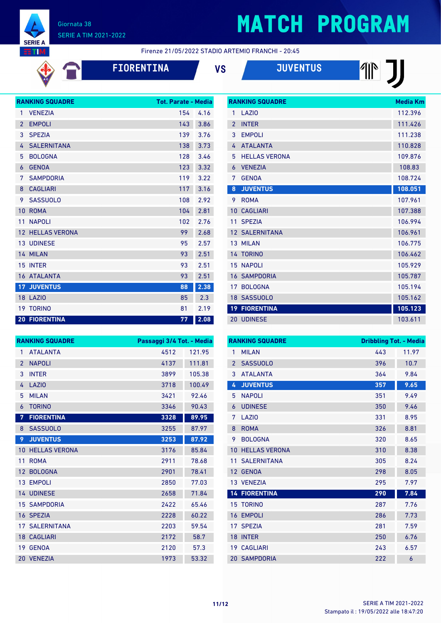

# **MATCH PROGRAM**

**RANKING SQUADRE Media Km** 

**THE THE** 

Firenze 21/05/2022 STADIO ARTEMIO FRANCHI - 20:45

| <b>FIORENTINA</b> | ٧S | <b>JUVENTUS</b> |
|-------------------|----|-----------------|
|                   |    |                 |

|                | <b>RANKING SQUADRE</b> | <b>Tot. Parate - Media</b> |      |
|----------------|------------------------|----------------------------|------|
| 1              | <b>VENEZIA</b>         | 154                        | 4.16 |
| $\mathfrak{p}$ | <b>EMPOLI</b>          | 143                        | 3.86 |
| 3              | <b>SPEZIA</b>          | 139                        | 3.76 |
| 4              | <b>SALERNITANA</b>     | 138                        | 3.73 |
| 5              | <b>BOLOGNA</b>         | 128                        | 3.46 |
| 6              | <b>GENOA</b>           | 123                        | 3.32 |
| 7              | <b>SAMPDORIA</b>       | 119                        | 3.22 |
| 8              | <b>CAGLIARI</b>        | 117                        | 3.16 |
| 9              | <b>SASSUOLO</b>        | 108                        | 2.92 |
| 10             | <b>ROMA</b>            | 104                        | 2.81 |
| 11             | <b>NAPOLI</b>          | 102                        | 2.76 |
| 12             | <b>HELLAS VERONA</b>   | 99                         | 2.68 |
| 13             | <b>UDINESE</b>         | 95                         | 2.57 |
|                | 14 MILAN               | 93                         | 2.51 |
| 15             | <b>INTER</b>           | 93                         | 2.51 |
|                | 16 ATALANTA            | 93                         | 2.51 |
|                | <b>17 JUVENTUS</b>     | 88                         | 2.38 |
| 18             | LAZIO                  | 85                         | 2.3  |
| 19             | <b>TORINO</b>          | 81                         | 2.19 |
|                | <b>20 FIORENTINA</b>   | 77                         | 2.08 |

| 1              | LAZI <sub>0</sub>     | 112.396 |
|----------------|-----------------------|---------|
| $\mathfrak{p}$ | <b>INTER</b>          | 111.426 |
| 3              | <b>EMPOLI</b>         | 111.238 |
| 4              | <b>ATALANTA</b>       | 110.828 |
| 5              | <b>HELLAS VERONA</b>  | 109.876 |
| 6              | <b>VENEZIA</b>        | 108.83  |
| 7              | <b>GENOA</b>          | 108.724 |
| 8              | <b>JUVENTUS</b>       | 108.051 |
| 9              | <b>ROMA</b>           | 107.961 |
| 10             | <b>CAGLIARI</b>       | 107.388 |
| 11             | <b>SPEZIA</b>         | 106.994 |
|                | <b>12 SALERNITANA</b> | 106.961 |
| 13             | <b>MILAN</b>          | 106.775 |
|                | 14 TORINO             | 106.462 |
| 15             | <b>NAPOLI</b>         | 105.929 |
|                | <b>16 SAMPDORIA</b>   | 105.787 |
| 17             | <b>BOLOGNA</b>        | 105.194 |
|                | 18 SASSUOLO           | 105.162 |
|                | <b>19 FIORENTINA</b>  | 105.123 |
|                | 20 UDINESE            | 103.611 |

|                 | <b>RANKING SQUADRE</b> | Passaggi 3/4 Tot. - Media |        |
|-----------------|------------------------|---------------------------|--------|
| 1               | <b>ATALANTA</b>        | 4512                      | 121.95 |
| $\overline{2}$  | <b>NAPOLI</b>          | 4137                      | 111.81 |
| 3               | <b>INTER</b>           | 3899                      | 105.38 |
| 4               | LAZI <sub>0</sub>      | 3718                      | 100.49 |
| 5               | <b>MILAN</b>           | 3421                      | 92.46  |
| 6               | <b>TORINO</b>          | 3346                      | 90.43  |
| 7               | <b>FIORENTINA</b>      | 3328                      | 89.95  |
| 8               | <b>SASSUOLO</b>        | 3255                      | 87.97  |
| 9               | <b>JUVENTUS</b>        | 3253                      | 87.92  |
| 10              | <b>HELLAS VERONA</b>   | 3176                      | 85.84  |
| 11              | <b>ROMA</b>            | 2911                      | 78.68  |
| 12 <sup>2</sup> | <b>BOLOGNA</b>         | 2901                      | 78.41  |
| 13 <sup>°</sup> | <b>EMPOLI</b>          | 2850                      | 77.03  |
|                 | <b>14 UDINESE</b>      | 2658                      | 71.84  |
|                 | <b>15 SAMPDORIA</b>    | 2422                      | 65.46  |
|                 | 16 SPEZIA              | 2228                      | 60.22  |
| 17 <sup>1</sup> | <b>SALERNITANA</b>     | 2203                      | 59.54  |
|                 | <b>18 CAGLIARI</b>     | 2172                      | 58.7   |
| 19              | <b>GENOA</b>           | 2120                      | 57.3   |
|                 | 20 VENEZIA             | 1973                      | 53.32  |

|                 | <b>RANKING SQUADRE</b> | <b>Dribbling Tot. - Media</b> |       |
|-----------------|------------------------|-------------------------------|-------|
| 1               | <b>MILAN</b>           | 443                           | 11.97 |
| $\overline{2}$  | <b>SASSUOLO</b>        | 396                           | 10.7  |
| 3               | <b>ATALANTA</b>        | 364                           | 9.84  |
| 4               | <b>JUVENTUS</b>        | 357                           | 9.65  |
| 5               | <b>NAPOLI</b>          | 351                           | 9.49  |
| 6               | <b>UDINESE</b>         | 350                           | 9.46  |
| 7               | LAZIO                  | 331                           | 8.95  |
| 8               | <b>ROMA</b>            | 326                           | 8.81  |
| 9               | <b>BOLOGNA</b>         | 320                           | 8.65  |
| 10              | <b>HELLAS VERONA</b>   | 310                           | 8.38  |
| 11              | <b>SALERNITANA</b>     | 305                           | 8.24  |
| 12              | <b>GENOA</b>           | 298                           | 8.05  |
|                 | 13 VENEZIA             | 295                           | 7.97  |
|                 | <b>14 FIORENTINA</b>   | 290                           | 7.84  |
|                 | <b>15 TORINO</b>       | 287                           | 7.76  |
| 16              | <b>EMPOLI</b>          | 286                           | 7.73  |
| 17              | <b>SPEZIA</b>          | 281                           | 7.59  |
| 18              | <b>INTER</b>           | 250                           | 6.76  |
| 19 <sup>°</sup> | <b>CAGLIARI</b>        | 243                           | 6.57  |
|                 | <b>20 SAMPDORIA</b>    | 222                           | 6     |